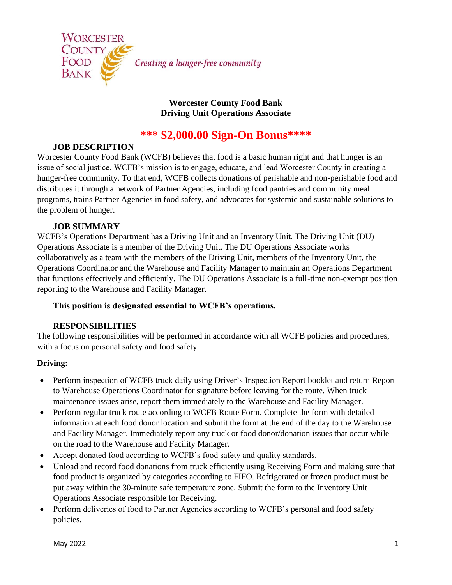

### **Worcester County Food Bank Driving Unit Operations Associate**

# **\*\*\* \$2,000.00 Sign-On Bonus\*\*\*\***

# **JOB DESCRIPTION**

Worcester County Food Bank (WCFB) believes that food is a basic human right and that hunger is an issue of social justice. WCFB's mission is to engage, educate, and lead Worcester County in creating a hunger-free community. To that end, WCFB collects donations of perishable and non-perishable food and distributes it through a network of Partner Agencies, including food pantries and community meal programs, trains Partner Agencies in food safety, and advocates for systemic and sustainable solutions to the problem of hunger.

### **JOB SUMMARY**

WCFB's Operations Department has a Driving Unit and an Inventory Unit. The Driving Unit (DU) Operations Associate is a member of the Driving Unit. The DU Operations Associate works collaboratively as a team with the members of the Driving Unit, members of the Inventory Unit, the Operations Coordinator and the Warehouse and Facility Manager to maintain an Operations Department that functions effectively and efficiently. The DU Operations Associate is a full-time non-exempt position reporting to the Warehouse and Facility Manager.

### **This position is designated essential to WCFB's operations.**

### **RESPONSIBILITIES**

The following responsibilities will be performed in accordance with all WCFB policies and procedures, with a focus on personal safety and food safety

# **Driving:**

- Perform inspection of WCFB truck daily using Driver's Inspection Report booklet and return Report to Warehouse Operations Coordinator for signature before leaving for the route. When truck maintenance issues arise, report them immediately to the Warehouse and Facility Manager.
- Perform regular truck route according to WCFB Route Form. Complete the form with detailed information at each food donor location and submit the form at the end of the day to the Warehouse and Facility Manager. Immediately report any truck or food donor/donation issues that occur while on the road to the Warehouse and Facility Manager.
- Accept donated food according to WCFB's food safety and quality standards.
- Unload and record food donations from truck efficiently using Receiving Form and making sure that food product is organized by categories according to FIFO. Refrigerated or frozen product must be put away within the 30-minute safe temperature zone. Submit the form to the Inventory Unit Operations Associate responsible for Receiving.
- Perform deliveries of food to Partner Agencies according to WCFB's personal and food safety policies.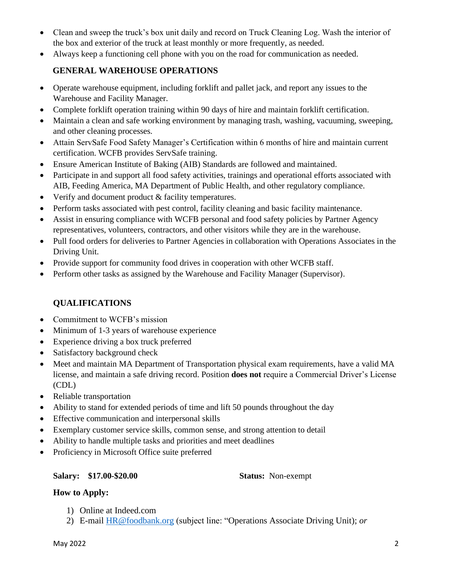- Clean and sweep the truck's box unit daily and record on Truck Cleaning Log. Wash the interior of the box and exterior of the truck at least monthly or more frequently, as needed.
- Always keep a functioning cell phone with you on the road for communication as needed.

### **GENERAL WAREHOUSE OPERATIONS**

- Operate warehouse equipment, including forklift and pallet jack, and report any issues to the Warehouse and Facility Manager.
- Complete forklift operation training within 90 days of hire and maintain forklift certification.
- Maintain a clean and safe working environment by managing trash, washing, vacuuming, sweeping, and other cleaning processes.
- Attain ServSafe Food Safety Manager's Certification within 6 months of hire and maintain current certification. WCFB provides ServSafe training.
- Ensure American Institute of Baking (AIB) Standards are followed and maintained.
- Participate in and support all food safety activities, trainings and operational efforts associated with AIB, Feeding America, MA Department of Public Health, and other regulatory compliance.
- Verify and document product & facility temperatures.
- Perform tasks associated with pest control, facility cleaning and basic facility maintenance.
- Assist in ensuring compliance with WCFB personal and food safety policies by Partner Agency representatives, volunteers, contractors, and other visitors while they are in the warehouse.
- Pull food orders for deliveries to Partner Agencies in collaboration with Operations Associates in the Driving Unit.
- Provide support for community food drives in cooperation with other WCFB staff.
- Perform other tasks as assigned by the Warehouse and Facility Manager (Supervisor).

# **QUALIFICATIONS**

- Commitment to WCFB's mission
- Minimum of 1-3 years of warehouse experience
- Experience driving a box truck preferred
- Satisfactory background check
- Meet and maintain MA Department of Transportation physical exam requirements, have a valid MA license, and maintain a safe driving record. Position **does not** require a Commercial Driver's License (CDL)
- Reliable transportation
- Ability to stand for extended periods of time and lift 50 pounds throughout the day
- Effective communication and interpersonal skills
- Exemplary customer service skills, common sense, and strong attention to detail
- Ability to handle multiple tasks and priorities and meet deadlines
- Proficiency in Microsoft Office suite preferred

#### **Salary: \$17.00-\$20.00 Status:** Non-exempt

#### **How to Apply:**

- 1) Online at Indeed.com
- 2) E-mail [HR@foodbank.org](mailto:HR@foodbank.org) (subject line: "Operations Associate Driving Unit); *or*